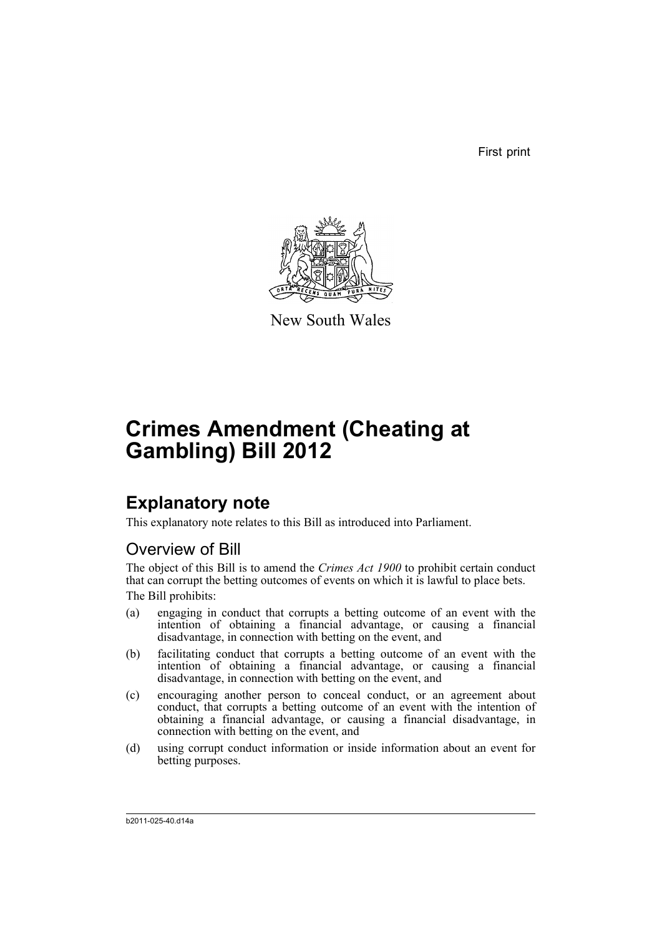First print



New South Wales

# **Crimes Amendment (Cheating at Gambling) Bill 2012**

## **Explanatory note**

This explanatory note relates to this Bill as introduced into Parliament.

### Overview of Bill

The object of this Bill is to amend the *Crimes Act 1900* to prohibit certain conduct that can corrupt the betting outcomes of events on which it is lawful to place bets. The Bill prohibits:

- (a) engaging in conduct that corrupts a betting outcome of an event with the intention of obtaining a financial advantage, or causing a financial disadvantage, in connection with betting on the event, and
- (b) facilitating conduct that corrupts a betting outcome of an event with the intention of obtaining a financial advantage, or causing a financial disadvantage, in connection with betting on the event, and
- (c) encouraging another person to conceal conduct, or an agreement about conduct, that corrupts a betting outcome of an event with the intention of obtaining a financial advantage, or causing a financial disadvantage, in connection with betting on the event, and
- (d) using corrupt conduct information or inside information about an event for betting purposes.

b2011-025-40.d14a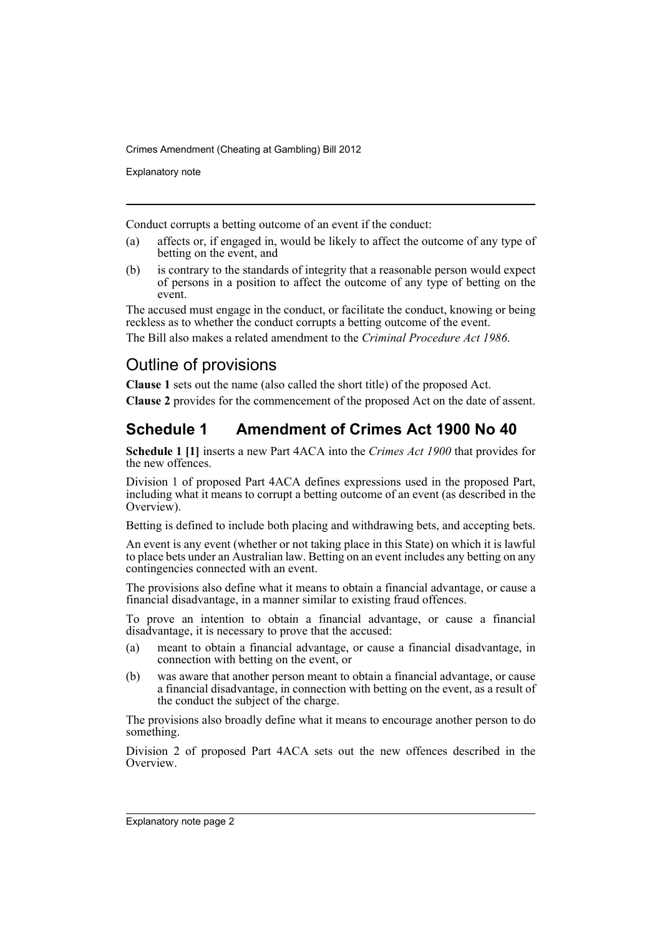Explanatory note

Conduct corrupts a betting outcome of an event if the conduct:

- (a) affects or, if engaged in, would be likely to affect the outcome of any type of betting on the event, and
- (b) is contrary to the standards of integrity that a reasonable person would expect of persons in a position to affect the outcome of any type of betting on the event.

The accused must engage in the conduct, or facilitate the conduct, knowing or being reckless as to whether the conduct corrupts a betting outcome of the event.

The Bill also makes a related amendment to the *Criminal Procedure Act 1986*.

### Outline of provisions

**Clause 1** sets out the name (also called the short title) of the proposed Act.

**Clause 2** provides for the commencement of the proposed Act on the date of assent.

### **Schedule 1 Amendment of Crimes Act 1900 No 40**

**Schedule 1 [1]** inserts a new Part 4ACA into the *Crimes Act 1900* that provides for the new offences.

Division 1 of proposed Part 4ACA defines expressions used in the proposed Part, including what it means to corrupt a betting outcome of an event (as described in the Overview).

Betting is defined to include both placing and withdrawing bets, and accepting bets.

An event is any event (whether or not taking place in this State) on which it is lawful to place bets under an Australian law. Betting on an event includes any betting on any contingencies connected with an event.

The provisions also define what it means to obtain a financial advantage, or cause a financial disadvantage, in a manner similar to existing fraud offences.

To prove an intention to obtain a financial advantage, or cause a financial disadvantage, it is necessary to prove that the accused:

- (a) meant to obtain a financial advantage, or cause a financial disadvantage, in connection with betting on the event, or
- (b) was aware that another person meant to obtain a financial advantage, or cause a financial disadvantage, in connection with betting on the event, as a result of the conduct the subject of the charge.

The provisions also broadly define what it means to encourage another person to do something.

Division 2 of proposed Part 4ACA sets out the new offences described in the **Overview**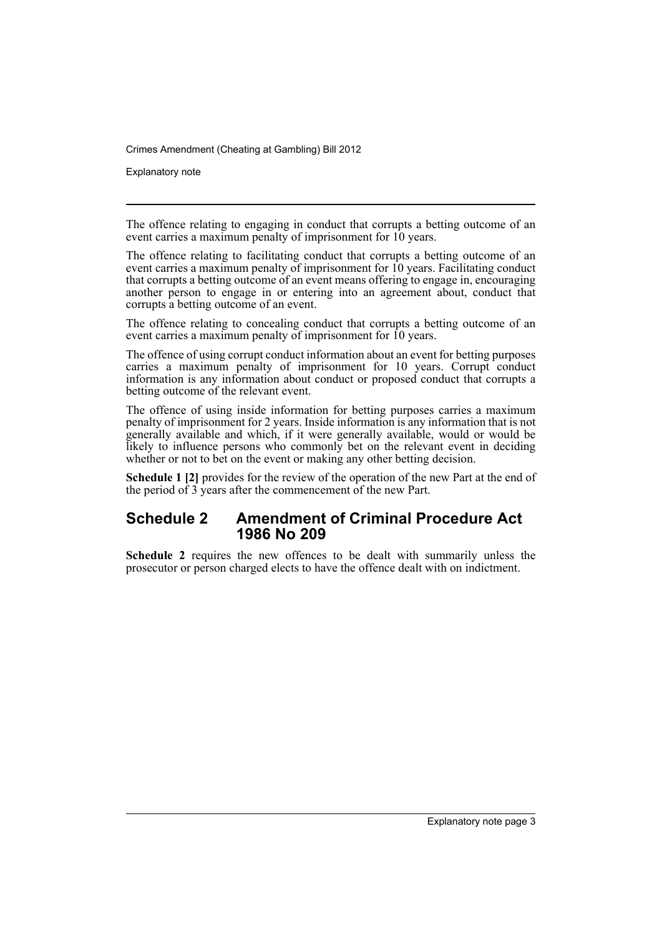Explanatory note

The offence relating to engaging in conduct that corrupts a betting outcome of an event carries a maximum penalty of imprisonment for 10 years.

The offence relating to facilitating conduct that corrupts a betting outcome of an event carries a maximum penalty of imprisonment for 10 years. Facilitating conduct that corrupts a betting outcome of an event means offering to engage in, encouraging another person to engage in or entering into an agreement about, conduct that corrupts a betting outcome of an event.

The offence relating to concealing conduct that corrupts a betting outcome of an event carries a maximum penalty of imprisonment for 10 years.

The offence of using corrupt conduct information about an event for betting purposes carries a maximum penalty of imprisonment for 10 years. Corrupt conduct information is any information about conduct or proposed conduct that corrupts a betting outcome of the relevant event.

The offence of using inside information for betting purposes carries a maximum penalty of imprisonment for 2 years. Inside information is any information that is not generally available and which, if it were generally available, would or would be likely to influence persons who commonly bet on the relevant event in deciding whether or not to bet on the event or making any other betting decision.

**Schedule 1 [2]** provides for the review of the operation of the new Part at the end of the period of 3 years after the commencement of the new Part.

### **Schedule 2 Amendment of Criminal Procedure Act 1986 No 209**

**Schedule 2** requires the new offences to be dealt with summarily unless the prosecutor or person charged elects to have the offence dealt with on indictment.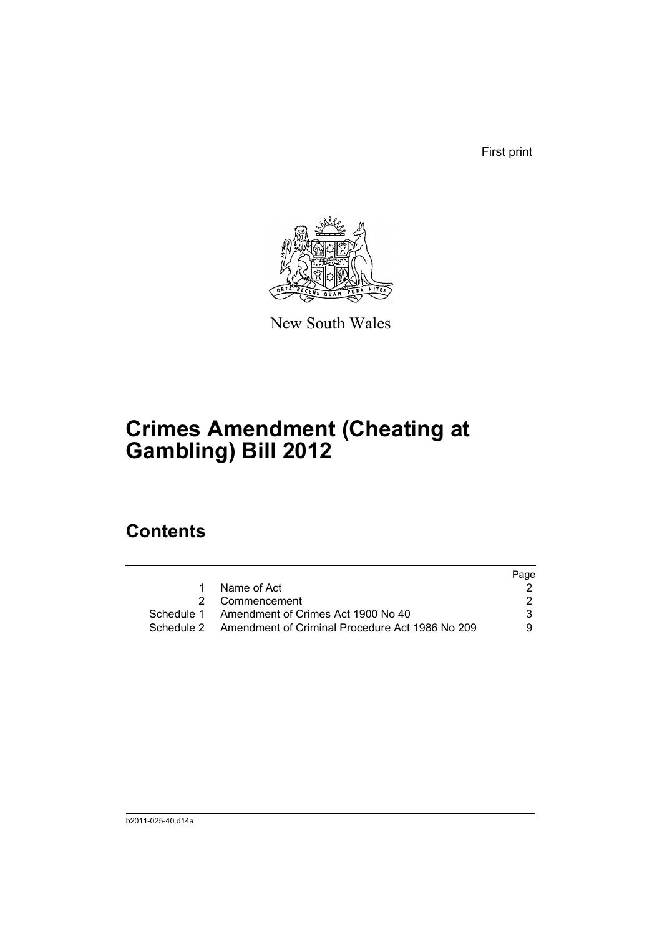First print



New South Wales

# **Crimes Amendment (Cheating at Gambling) Bill 2012**

## **Contents**

|                                                            | Page |
|------------------------------------------------------------|------|
| Name of Act                                                |      |
| 2 Commencement                                             |      |
| Schedule 1 Amendment of Crimes Act 1900 No 40              | 3.   |
| Schedule 2 Amendment of Criminal Procedure Act 1986 No 209 | 9.   |
|                                                            |      |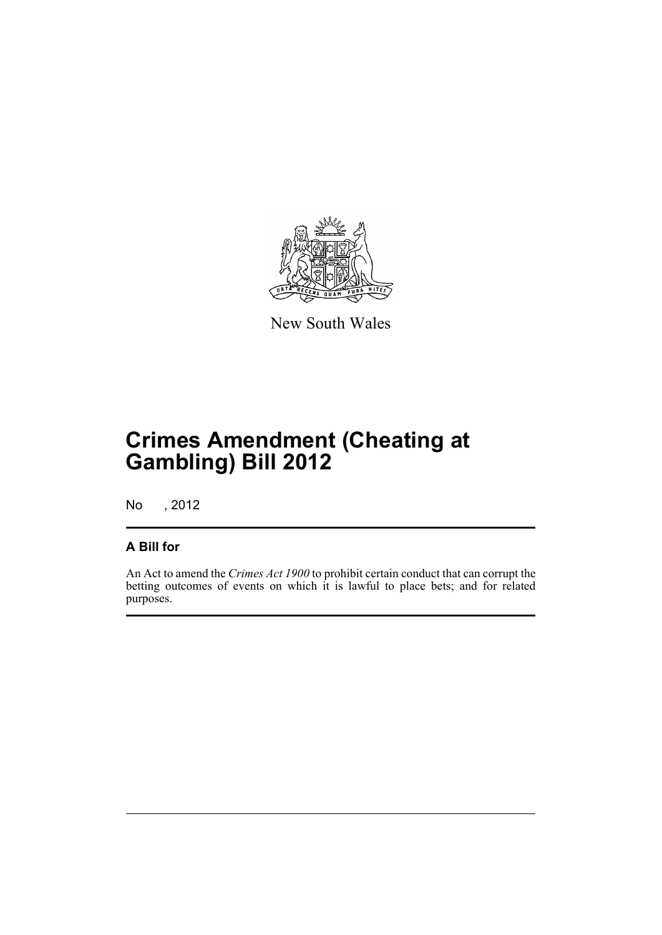

New South Wales

# **Crimes Amendment (Cheating at Gambling) Bill 2012**

No , 2012

### **A Bill for**

An Act to amend the *Crimes Act 1900* to prohibit certain conduct that can corrupt the betting outcomes of events on which it is lawful to place bets; and for related purposes.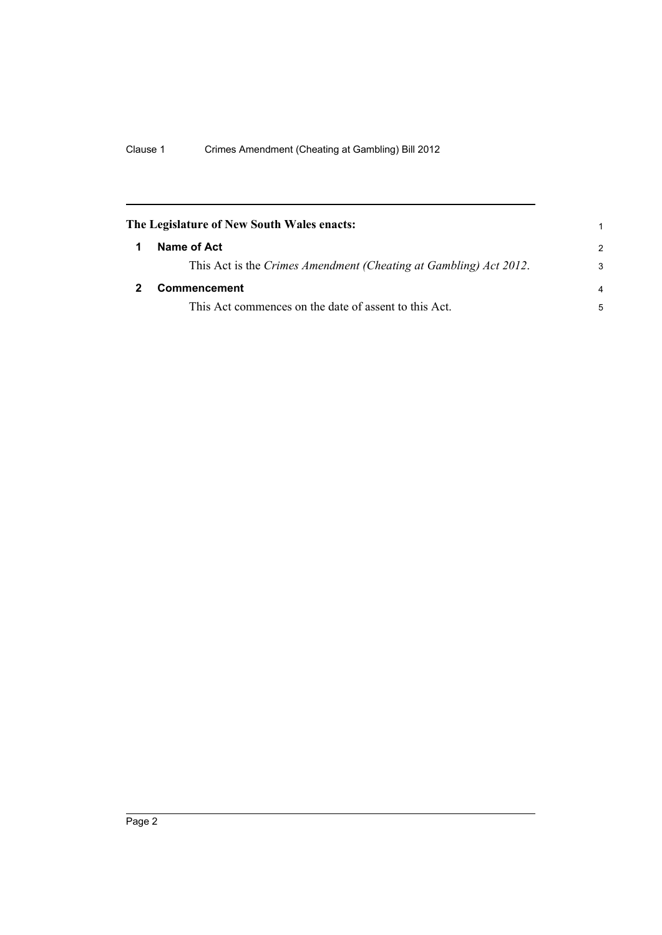<span id="page-7-1"></span><span id="page-7-0"></span>

| The Legislature of New South Wales enacts:                        |                |
|-------------------------------------------------------------------|----------------|
| Name of Act                                                       | $\overline{2}$ |
| This Act is the Crimes Amendment (Cheating at Gambling) Act 2012. | 3              |
| Commencement                                                      | $\overline{4}$ |
| This Act commences on the date of assent to this Act.             | 5              |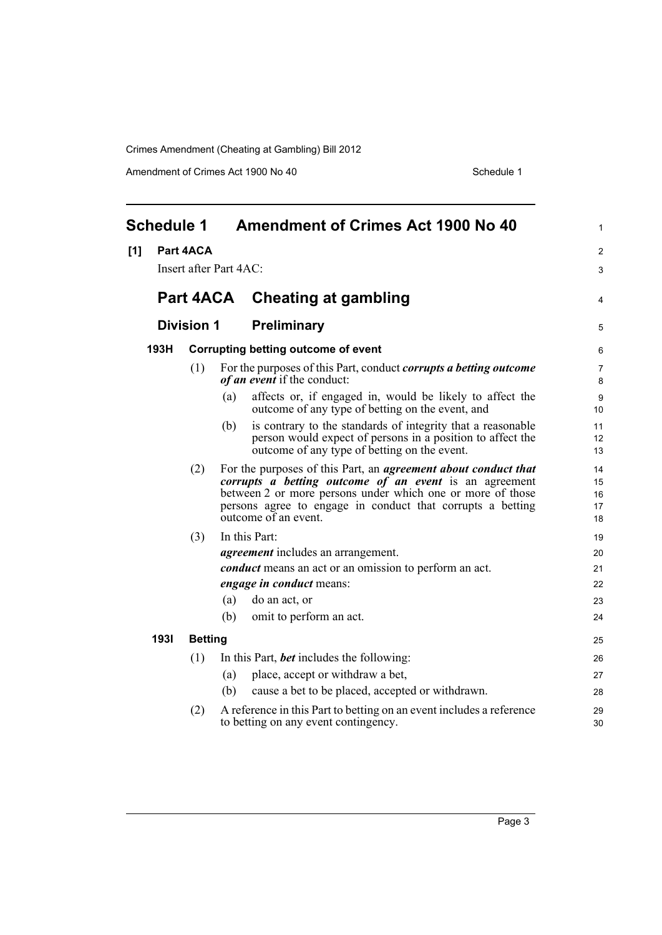Amendment of Crimes Act 1900 No 40 Schedule 1

<span id="page-8-0"></span>

|     | <b>Schedule 1</b> |                   | <b>Amendment of Crimes Act 1900 No 40</b>                                                                                                                                                                                                                                                  | 1                                |  |  |
|-----|-------------------|-------------------|--------------------------------------------------------------------------------------------------------------------------------------------------------------------------------------------------------------------------------------------------------------------------------------------|----------------------------------|--|--|
| [1] |                   | Part 4ACA         | Insert after Part 4AC:                                                                                                                                                                                                                                                                     | 2<br>3                           |  |  |
|     |                   |                   | Part 4ACA Cheating at gambling                                                                                                                                                                                                                                                             | 4                                |  |  |
|     |                   | <b>Division 1</b> | <b>Preliminary</b>                                                                                                                                                                                                                                                                         | 5                                |  |  |
|     | 193H              |                   | <b>Corrupting betting outcome of event</b>                                                                                                                                                                                                                                                 |                                  |  |  |
|     |                   | (1)               | For the purposes of this Part, conduct <i>corrupts a betting outcome</i><br>of an event if the conduct:                                                                                                                                                                                    | 7<br>8                           |  |  |
|     |                   |                   | affects or, if engaged in, would be likely to affect the<br>(a)<br>outcome of any type of betting on the event, and                                                                                                                                                                        | 9<br>10                          |  |  |
|     |                   |                   | is contrary to the standards of integrity that a reasonable<br>(b)<br>person would expect of persons in a position to affect the<br>outcome of any type of betting on the event.                                                                                                           | 11<br>12<br>13                   |  |  |
|     |                   | (2)               | For the purposes of this Part, an <i>agreement about conduct that</i><br><i>corrupts a betting outcome of an event</i> is an agreement<br>between 2 or more persons under which one or more of those<br>persons agree to engage in conduct that corrupts a betting<br>outcome of an event. | 14<br>15<br>16<br>17<br>18       |  |  |
|     |                   | (3)               | In this Part:<br><i>agreement</i> includes an arrangement.<br><i>conduct</i> means an act or an omission to perform an act.<br><i>engage in conduct means:</i><br>(a)<br>do an act, or<br>omit to perform an act.<br>(b)                                                                   | 19<br>20<br>21<br>22<br>23<br>24 |  |  |
|     | 1931              | <b>Betting</b>    |                                                                                                                                                                                                                                                                                            | 25                               |  |  |
|     |                   | (1)               | In this Part, <i>bet</i> includes the following:<br>place, accept or withdraw a bet,<br>(a)<br>cause a bet to be placed, accepted or withdrawn.<br>(b)                                                                                                                                     | 26<br>27<br>28                   |  |  |
|     |                   | (2)               | A reference in this Part to betting on an event includes a reference<br>to betting on any event contingency.                                                                                                                                                                               | 29<br>30                         |  |  |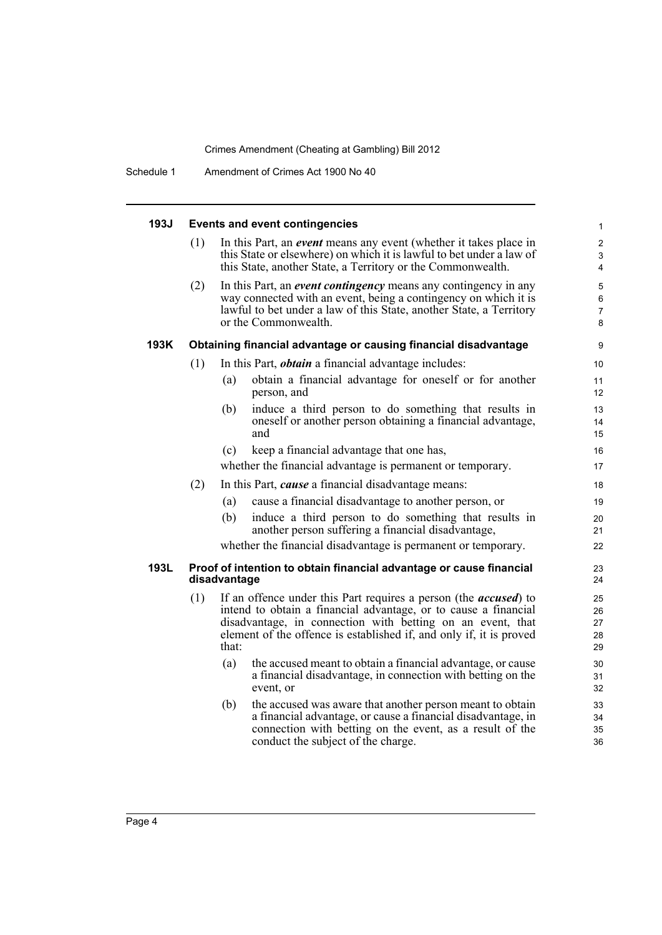| 193J |     | <b>Events and event contingencies</b>                                                                                                                                                                                                                                                     | $\mathbf{1}$                  |
|------|-----|-------------------------------------------------------------------------------------------------------------------------------------------------------------------------------------------------------------------------------------------------------------------------------------------|-------------------------------|
|      | (1) | In this Part, an <i>event</i> means any event (whether it takes place in<br>this State or elsewhere) on which it is lawful to bet under a law of<br>this State, another State, a Territory or the Commonwealth.                                                                           | 2<br>3<br>4                   |
|      | (2) | In this Part, an event contingency means any contingency in any<br>way connected with an event, being a contingency on which it is<br>lawful to bet under a law of this State, another State, a Territory<br>or the Commonwealth.                                                         | 5<br>6<br>$\overline{7}$<br>8 |
| 193K |     | Obtaining financial advantage or causing financial disadvantage                                                                                                                                                                                                                           | 9                             |
|      | (1) | In this Part, <i>obtain</i> a financial advantage includes:                                                                                                                                                                                                                               | 10                            |
|      |     | obtain a financial advantage for oneself or for another<br>(a)<br>person, and                                                                                                                                                                                                             | 11<br>12                      |
|      |     | (b)<br>induce a third person to do something that results in<br>oneself or another person obtaining a financial advantage,<br>and                                                                                                                                                         | 13<br>14<br>15                |
|      |     | (c)<br>keep a financial advantage that one has,                                                                                                                                                                                                                                           | 16                            |
|      |     | whether the financial advantage is permanent or temporary.                                                                                                                                                                                                                                | 17                            |
|      | (2) | In this Part, <i>cause</i> a financial disadvantage means:                                                                                                                                                                                                                                | 18                            |
|      |     | cause a financial disadvantage to another person, or<br>(a)                                                                                                                                                                                                                               | 19                            |
|      |     | induce a third person to do something that results in<br>(b)<br>another person suffering a financial disadvantage,                                                                                                                                                                        | 20<br>21                      |
|      |     | whether the financial disadvantage is permanent or temporary.                                                                                                                                                                                                                             | 22                            |
| 193L |     | Proof of intention to obtain financial advantage or cause financial<br>disadvantage                                                                                                                                                                                                       | 23<br>24                      |
|      | (1) | If an offence under this Part requires a person (the <i>accused</i> ) to<br>intend to obtain a financial advantage, or to cause a financial<br>disadvantage, in connection with betting on an event, that<br>element of the offence is established if, and only if, it is proved<br>that: | 25<br>26<br>27<br>28<br>29    |
|      |     | (a)<br>the accused meant to obtain a financial advantage, or cause<br>a financial disadvantage, in connection with betting on the<br>event, or                                                                                                                                            | 30<br>31<br>32                |
|      |     | (b)<br>the accused was aware that another person meant to obtain<br>a financial advantage, or cause a financial disadvantage, in<br>connection with betting on the event, as a result of the<br>conduct the subject of the charge.                                                        | 33<br>34<br>35<br>36          |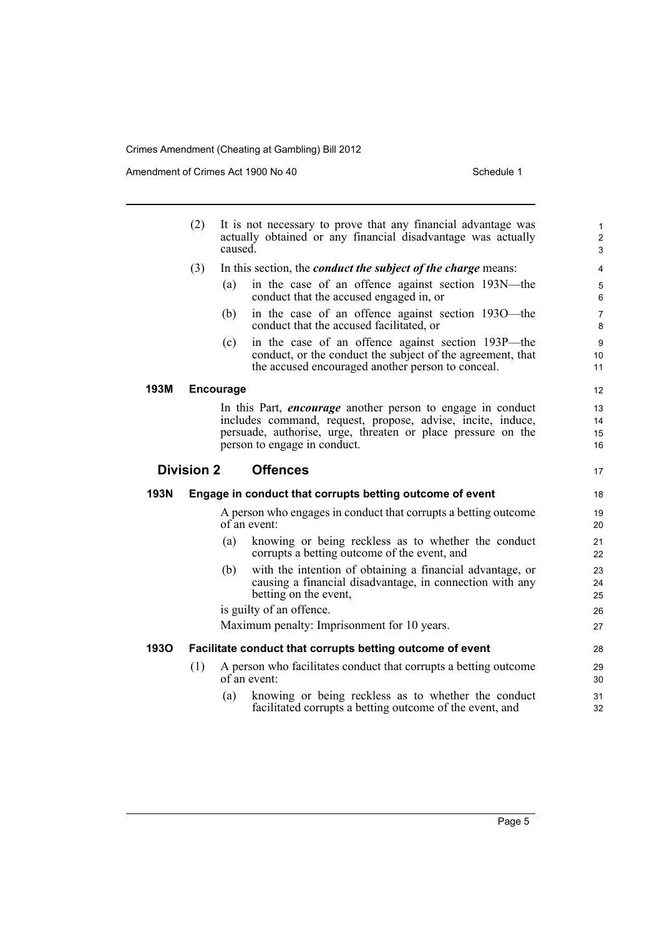Amendment of Crimes Act 1900 No 40 Schedule 1

|      | (2)                                  | It is not necessary to prove that any financial advantage was<br>actually obtained or any financial disadvantage was actually<br>caused. |                                                                                                                                                                                                                                   |                              |
|------|--------------------------------------|------------------------------------------------------------------------------------------------------------------------------------------|-----------------------------------------------------------------------------------------------------------------------------------------------------------------------------------------------------------------------------------|------------------------------|
|      | (3)                                  |                                                                                                                                          | In this section, the <i>conduct the subject of the charge</i> means:                                                                                                                                                              | 4                            |
|      |                                      | (a)                                                                                                                                      | in the case of an offence against section 193N—the<br>conduct that the accused engaged in, or                                                                                                                                     | 5<br>6                       |
|      |                                      | (b)                                                                                                                                      | in the case of an offence against section 1930—the<br>conduct that the accused facilitated, or                                                                                                                                    | $\overline{7}$<br>8          |
|      |                                      | (c)                                                                                                                                      | in the case of an offence against section 193P-the<br>conduct, or the conduct the subject of the agreement, that<br>the accused encouraged another person to conceal.                                                             | $\boldsymbol{9}$<br>10<br>11 |
| 193M |                                      | <b>Encourage</b>                                                                                                                         |                                                                                                                                                                                                                                   | 12                           |
|      |                                      |                                                                                                                                          | In this Part, <i>encourage</i> another person to engage in conduct<br>includes command, request, propose, advise, incite, induce,<br>persuade, authorise, urge, threaten or place pressure on the<br>person to engage in conduct. | 13<br>14<br>15<br>16         |
|      | <b>Offences</b><br><b>Division 2</b> |                                                                                                                                          |                                                                                                                                                                                                                                   |                              |
| 193N |                                      |                                                                                                                                          | Engage in conduct that corrupts betting outcome of event                                                                                                                                                                          | 18                           |
|      |                                      |                                                                                                                                          | A person who engages in conduct that corrupts a betting outcome<br>of an event:                                                                                                                                                   | 19<br>20                     |
|      |                                      | (a)                                                                                                                                      | knowing or being reckless as to whether the conduct<br>corrupts a betting outcome of the event, and                                                                                                                               | 21<br>22                     |
|      |                                      | (b)                                                                                                                                      | with the intention of obtaining a financial advantage, or<br>causing a financial disadvantage, in connection with any<br>betting on the event,                                                                                    | 23<br>24<br>25               |
|      |                                      |                                                                                                                                          | is guilty of an offence.                                                                                                                                                                                                          | 26                           |
|      |                                      |                                                                                                                                          | Maximum penalty: Imprisonment for 10 years.                                                                                                                                                                                       | 27                           |
| 1930 |                                      |                                                                                                                                          | Facilitate conduct that corrupts betting outcome of event                                                                                                                                                                         | 28                           |
|      | (1)                                  |                                                                                                                                          | A person who facilitates conduct that corrupts a betting outcome<br>of an event:                                                                                                                                                  | 29<br>30                     |
|      |                                      | (a)                                                                                                                                      | knowing or being reckless as to whether the conduct<br>facilitated corrupts a betting outcome of the event, and                                                                                                                   | 31<br>32                     |
|      |                                      |                                                                                                                                          |                                                                                                                                                                                                                                   |                              |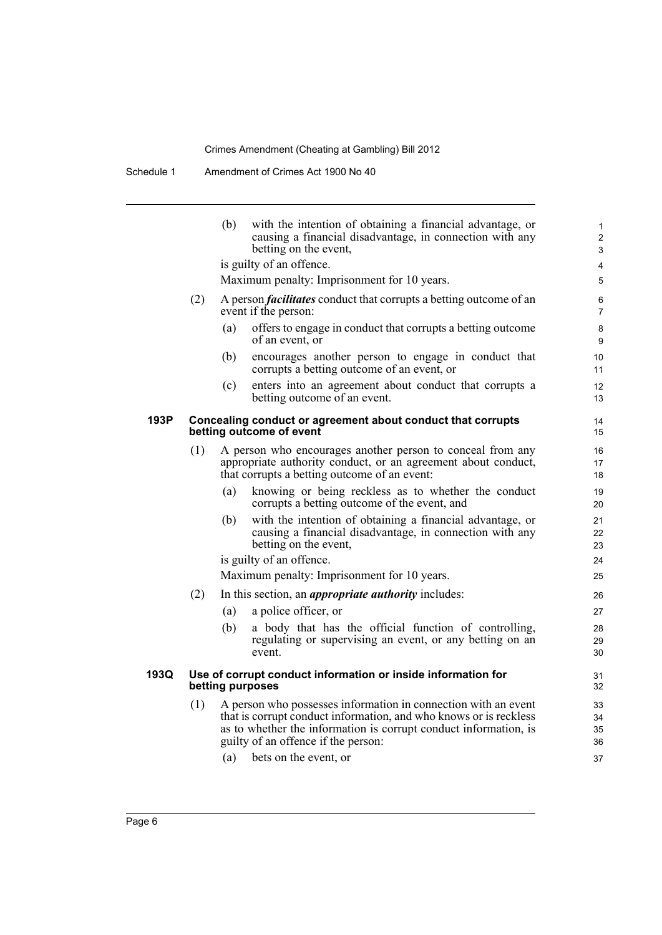Schedule 1 Amendment of Crimes Act 1900 No 40

|      |                                                                                         | (b) | with the intention of obtaining a financial advantage, or<br>causing a financial disadvantage, in connection with any<br>betting on the event,                                                                                                                          | 1<br>$\overline{2}$<br>3   |  |
|------|-----------------------------------------------------------------------------------------|-----|-------------------------------------------------------------------------------------------------------------------------------------------------------------------------------------------------------------------------------------------------------------------------|----------------------------|--|
|      |                                                                                         |     | is guilty of an offence.                                                                                                                                                                                                                                                | 4                          |  |
|      |                                                                                         |     | Maximum penalty: Imprisonment for 10 years.                                                                                                                                                                                                                             | 5                          |  |
|      | (2)                                                                                     |     | A person <i>facilitates</i> conduct that corrupts a betting outcome of an<br>event if the person:                                                                                                                                                                       | 6<br>$\overline{7}$        |  |
|      |                                                                                         | (a) | offers to engage in conduct that corrupts a betting outcome<br>of an event, or                                                                                                                                                                                          | 8<br>9                     |  |
|      |                                                                                         | (b) | encourages another person to engage in conduct that<br>corrupts a betting outcome of an event, or                                                                                                                                                                       | 10<br>11                   |  |
|      |                                                                                         | (c) | enters into an agreement about conduct that corrupts a<br>betting outcome of an event.                                                                                                                                                                                  | 12<br>13                   |  |
| 193P | Concealing conduct or agreement about conduct that corrupts<br>betting outcome of event |     |                                                                                                                                                                                                                                                                         |                            |  |
|      | (1)                                                                                     |     | A person who encourages another person to conceal from any<br>appropriate authority conduct, or an agreement about conduct,<br>that corrupts a betting outcome of an event:                                                                                             | 16<br>17<br>18             |  |
|      |                                                                                         | (a) | knowing or being reckless as to whether the conduct<br>corrupts a betting outcome of the event, and                                                                                                                                                                     | 19<br>20                   |  |
|      |                                                                                         | (b) | with the intention of obtaining a financial advantage, or<br>causing a financial disadvantage, in connection with any<br>betting on the event,                                                                                                                          | 21<br>22<br>23             |  |
|      |                                                                                         |     | is guilty of an offence.                                                                                                                                                                                                                                                | 24                         |  |
|      |                                                                                         |     | Maximum penalty: Imprisonment for 10 years.                                                                                                                                                                                                                             | 25                         |  |
|      | (2)                                                                                     |     | In this section, an <i>appropriate authority</i> includes:                                                                                                                                                                                                              | 26                         |  |
|      |                                                                                         | (a) | a police officer, or                                                                                                                                                                                                                                                    | 27                         |  |
|      |                                                                                         | (b) | a body that has the official function of controlling,<br>regulating or supervising an event, or any betting on an<br>event.                                                                                                                                             | 28<br>29<br>30             |  |
| 193Q | Use of corrupt conduct information or inside information for<br>betting purposes        |     |                                                                                                                                                                                                                                                                         |                            |  |
|      | (1)                                                                                     | (a) | A person who possesses information in connection with an event<br>that is corrupt conduct information, and who knows or is reckless<br>as to whether the information is corrupt conduct information, is<br>guilty of an offence if the person:<br>bets on the event, or | 33<br>34<br>35<br>36<br>37 |  |
|      |                                                                                         |     |                                                                                                                                                                                                                                                                         |                            |  |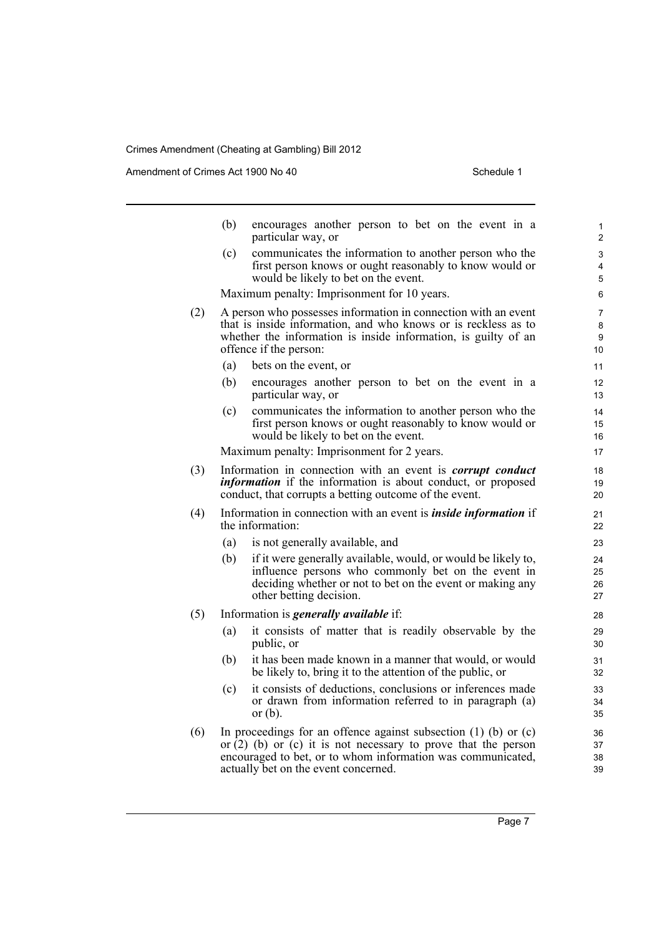Amendment of Crimes Act 1900 No 40 Schedule 1

|     | (b)                                                                                                                                                                                                                          | encourages another person to bet on the event in a<br>particular way, or                                                                                                                                                                         | 1<br>$\overline{2}$      |  |
|-----|------------------------------------------------------------------------------------------------------------------------------------------------------------------------------------------------------------------------------|--------------------------------------------------------------------------------------------------------------------------------------------------------------------------------------------------------------------------------------------------|--------------------------|--|
|     | (c)                                                                                                                                                                                                                          | communicates the information to another person who the<br>first person knows or ought reasonably to know would or<br>would be likely to bet on the event.                                                                                        | 3<br>$\overline{4}$<br>5 |  |
|     |                                                                                                                                                                                                                              | Maximum penalty: Imprisonment for 10 years.                                                                                                                                                                                                      | 6                        |  |
| (2) | A person who possesses information in connection with an event<br>that is inside information, and who knows or is reckless as to<br>whether the information is inside information, is guilty of an<br>offence if the person: |                                                                                                                                                                                                                                                  |                          |  |
|     | (a)                                                                                                                                                                                                                          | bets on the event, or                                                                                                                                                                                                                            | 11                       |  |
|     | (b)                                                                                                                                                                                                                          | encourages another person to bet on the event in a<br>particular way, or                                                                                                                                                                         | 12<br>13                 |  |
|     | (c)                                                                                                                                                                                                                          | communicates the information to another person who the<br>first person knows or ought reasonably to know would or<br>would be likely to bet on the event.                                                                                        | 14<br>15<br>16           |  |
|     |                                                                                                                                                                                                                              | Maximum penalty: Imprisonment for 2 years.                                                                                                                                                                                                       | 17                       |  |
| (3) | Information in connection with an event is <i>corrupt conduct</i><br><i>information</i> if the information is about conduct, or proposed<br>conduct, that corrupts a betting outcome of the event.                           |                                                                                                                                                                                                                                                  |                          |  |
| (4) | Information in connection with an event is <i>inside information</i> if<br>the information:                                                                                                                                  |                                                                                                                                                                                                                                                  |                          |  |
|     | (a)                                                                                                                                                                                                                          | is not generally available, and                                                                                                                                                                                                                  | 23                       |  |
|     | (b)                                                                                                                                                                                                                          | if it were generally available, would, or would be likely to,<br>influence persons who commonly bet on the event in<br>deciding whether or not to bet on the event or making any<br>other betting decision.                                      | 24<br>25<br>26<br>27     |  |
| (5) |                                                                                                                                                                                                                              | Information is <i>generally available</i> if:                                                                                                                                                                                                    | 28                       |  |
|     | (a)                                                                                                                                                                                                                          | it consists of matter that is readily observable by the<br>public, or                                                                                                                                                                            | 29<br>30                 |  |
|     | (b)                                                                                                                                                                                                                          | it has been made known in a manner that would, or would<br>be likely to, bring it to the attention of the public, or                                                                                                                             | 31<br>32                 |  |
|     | (c)                                                                                                                                                                                                                          | it consists of deductions, conclusions or inferences made<br>or drawn from information referred to in paragraph (a)<br>or $(b)$ .                                                                                                                | 33<br>34<br>35           |  |
| (6) |                                                                                                                                                                                                                              | In proceedings for an offence against subsection $(1)$ (b) or $(c)$<br>or $(2)$ (b) or $(c)$ it is not necessary to prove that the person<br>encouraged to bet, or to whom information was communicated,<br>actually bet on the event concerned. | 36<br>37<br>38<br>39     |  |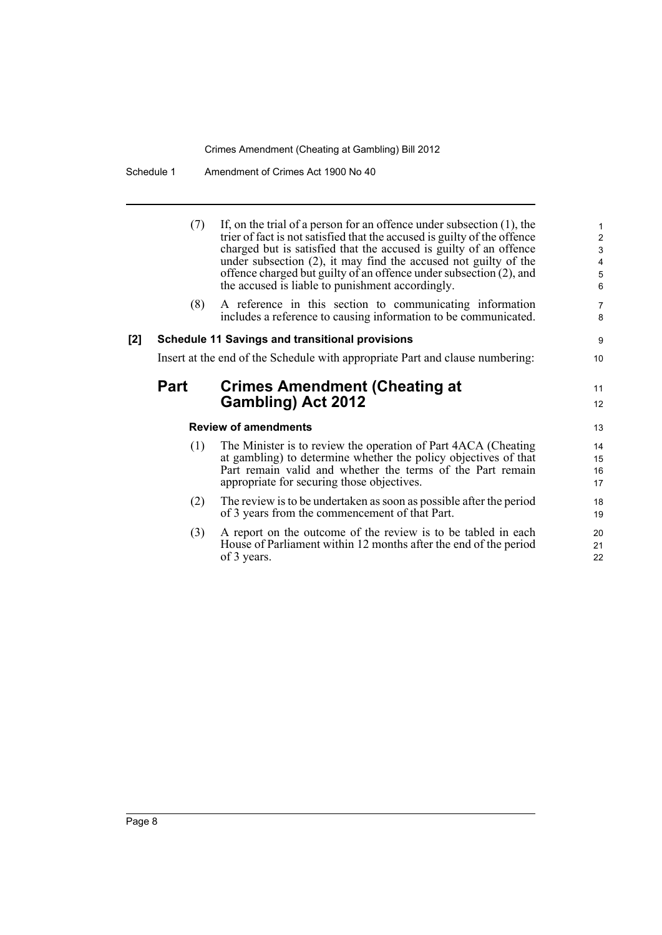Schedule 1 Amendment of Crimes Act 1900 No 40

(7) If, on the trial of a person for an offence under subsection  $(1)$ , the 1 trier of fact is not satisfied that the accused is guilty of the offence charged but is satisfied that the accused is guilty of an offence under subsection (2), it may find the accused not guilty of the offence charged but guilty of an offence under subsection (2), and the accused is liable to punishment accordingly. 6

16 15

21

(8) A reference in this section to communicating information 7 includes a reference to causing information to be communicated.

#### **[2] Schedule 11 Savings and transitional provisions** 9

Insert at the end of the Schedule with appropriate Part and clause numbering: 10

### **Part Crimes Amendment (Cheating at** <sup>11</sup> **Gambling) Act 2012**

#### **Review of amendments** 13

- (1) The Minister is to review the operation of Part 4ACA (Cheating 14 at gambling) to determine whether the policy objectives of that Part remain valid and whether the terms of the Part remain appropriate for securing those objectives. 17
- (2) The review is to be undertaken as soon as possible after the period 18 of 3 years from the commencement of that Part. 19
- (3) A report on the outcome of the review is to be tabled in each 20 House of Parliament within 12 months after the end of the period of 3 years. 22